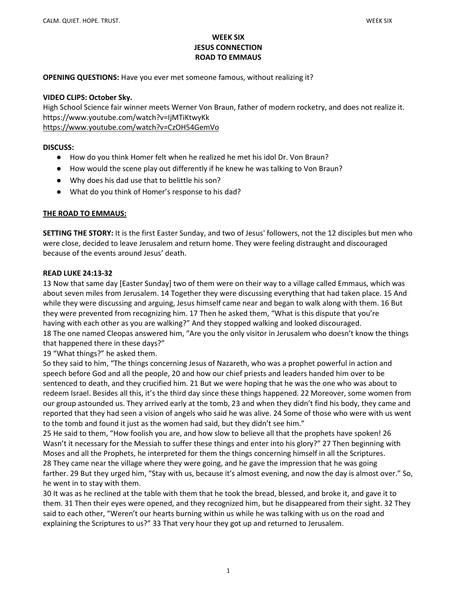# WEEK SIX JESUS CONNECTION ROAD TO EMMAUS

OPENING QUESTIONS: Have you ever met someone famous, without realizing it?

#### VIDEO CLIPS: October Sky.

High School Science fair winner meets Werner Von Braun, father of modern rocketry, and does not realize it. https://www.youtube.com/watch?v=IjMTiKtwyKk https://www.youtube.com/watch?v=CzOH54GemVo

#### DISCUSS:

- How do you think Homer felt when he realized he met his idol Dr. Von Braun?
- How would the scene play out differently if he knew he was talking to Von Braun?
- Why does his dad use that to belittle his son?
- What do you think of Homer's response to his dad?

## THE ROAD TO EMMAUS:

SETTING THE STORY: It is the first Easter Sunday, and two of Jesus' followers, not the 12 disciples but men who were close, decided to leave Jerusalem and return home. They were feeling distraught and discouraged because of the events around Jesus' death.

### READ LUKE 24:13-32

13 Now that same day [Easter Sunday] two of them were on their way to a village called Emmaus, which was about seven miles from Jerusalem. 14 Together they were discussing everything that had taken place. 15 And while they were discussing and arguing, Jesus himself came near and began to walk along with them. 16 But they were prevented from recognizing him. 17 Then he asked them, "What is this dispute that you're having with each other as you are walking?" And they stopped walking and looked discouraged. 18 The one named Cleopas answered him, "Are you the only visitor in Jerusalem who doesn't know the things

that happened there in these days?"

19 "What things?" he asked them.

So they said to him, "The things concerning Jesus of Nazareth, who was a prophet powerful in action and speech before God and all the people, 20 and how our chief priests and leaders handed him over to be sentenced to death, and they crucified him. 21 But we were hoping that he was the one who was about to redeem Israel. Besides all this, it's the third day since these things happened. 22 Moreover, some women from our group astounded us. They arrived early at the tomb, 23 and when they didn't find his body, they came and reported that they had seen a vision of angels who said he was alive. 24 Some of those who were with us went to the tomb and found it just as the women had said, but they didn't see him."

25 He said to them, "How foolish you are, and how slow to believe all that the prophets have spoken! 26 Wasn't it necessary for the Messiah to suffer these things and enter into his glory?" 27 Then beginning with Moses and all the Prophets, he interpreted for them the things concerning himself in all the Scriptures. 28 They came near the village where they were going, and he gave the impression that he was going farther. 29 But they urged him, "Stay with us, because it's almost evening, and now the day is almost over." So, he went in to stay with them.

30 It was as he reclined at the table with them that he took the bread, blessed, and broke it, and gave it to them. 31 Then their eyes were opened, and they recognized him, but he disappeared from their sight. 32 They said to each other, "Weren't our hearts burning within us while he was talking with us on the road and explaining the Scriptures to us?" 33 That very hour they got up and returned to Jerusalem.